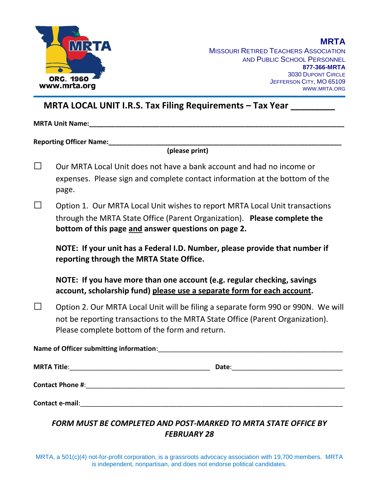

**MISSOURI RETIRED TEACHERS ASSOCIATION** AND PUBLIC SCHOOL PERSONNEL **877-366-MRTA** 3030 DUPONT CIRCLE JEFFERSON CITY, MO 65109 WWW.MRTA.ORG

### **MRTA LOCAL UNIT I.R.S. Tax Filing Requirements – Tax Year**  $\blacksquare$

 $\blacksquare$  MRTA Unit Name:

**Reporting Officer Name:** 

**(please print)**

- $\square$  Our MRTA Local Unit does not have a bank account and had no income or expenses. Please sign and complete contact information at the bottom of the page.
- $\Box$  Option 1. Our MRTA Local Unit wishes to report MRTA Local Unit transactions through the MRTA State Office (Parent Organization). **Please complete the bottom of this page and answer questions on page 2.**

**NOTE: If your unit has a Federal I.D. Number, please provide that number if reporting through the MRTA State Office.**

**NOTE: If you have more than one account (e.g. regular checking, savings account, scholarship fund) please use a separate form for each account.**

 $\square$  Option 2. Our MRTA Local Unit will be filing a separate form 990 or 990N. We will not be reporting transactions to the MRTA State Office (Parent Organization). Please complete bottom of the form and return.

**Name of Officer submitting information**:\_\_\_\_\_\_\_\_\_\_\_\_\_\_\_\_\_\_\_\_\_\_\_\_\_\_\_\_\_\_\_\_\_\_\_\_\_\_\_\_\_\_\_\_\_\_\_\_\_\_ **MRTA Title**:\_\_\_\_\_\_\_\_\_\_\_\_\_\_\_\_\_\_\_\_\_\_\_\_\_\_\_\_\_\_\_\_\_\_\_\_\_\_ **Date**:\_\_\_\_\_\_\_\_\_\_\_\_\_\_\_\_\_\_\_\_\_\_\_\_\_\_\_\_\_\_ **Contact Phone #: Contact Phone #: Contact e-mail:**  $\blacksquare$ 

*FORM MUST BE COMPLETED AND POST-MARKED TO MRTA STATE OFFICE BY FEBRUARY 28*

MRTA, a 501(c)(4) not-for-profit corporation, is a grassroots advocacy association with 19,700 members. MRTA is independent, nonpartisan, and does not endorse political candidates.

#### **MRTA**